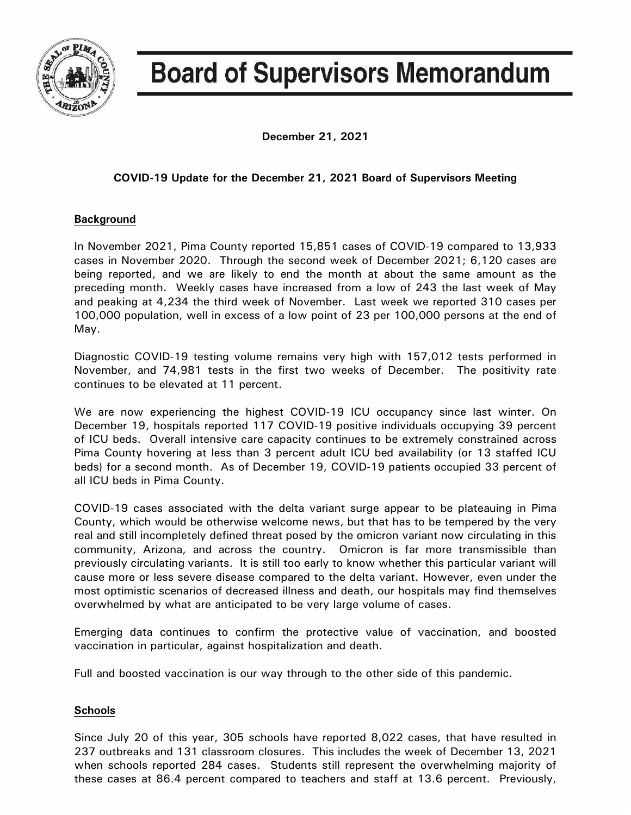

# **Board of Supervisors Memorandum**

**December 21, 2021**

## **COVID-19 Update for the December 21, 2021 Board of Supervisors Meeting**

## **Background**

In November 2021, Pima County reported 15,851 cases of COVID-19 compared to 13,933 cases in November 2020. Through the second week of December 2021; 6,120 cases are being reported, and we are likely to end the month at about the same amount as the preceding month. Weekly cases have increased from a low of 243 the last week of May and peaking at 4,234 the third week of November. Last week we reported 310 cases per 100,000 population, well in excess of a low point of 23 per 100,000 persons at the end of May.

Diagnostic COVID-19 testing volume remains very high with 157,012 tests performed in November, and 74,981 tests in the first two weeks of December. The positivity rate continues to be elevated at 11 percent.

We are now experiencing the highest COVID-19 ICU occupancy since last winter. On December 19, hospitals reported 117 COVID-19 positive individuals occupying 39 percent of ICU beds. Overall intensive care capacity continues to be extremely constrained across Pima County hovering at less than 3 percent adult ICU bed availability (or 13 staffed ICU beds) for a second month. As of December 19, COVID-19 patients occupied 33 percent of all ICU beds in Pima County.

COVID-19 cases associated with the delta variant surge appear to be plateauing in Pima County, which would be otherwise welcome news, but that has to be tempered by the very real and still incompletely defined threat posed by the omicron variant now circulating in this community, Arizona, and across the country. Omicron is far more transmissible than previously circulating variants. It is still too early to know whether this particular variant will cause more or less severe disease compared to the delta variant. However, even under the most optimistic scenarios of decreased illness and death, our hospitals may find themselves overwhelmed by what are anticipated to be very large volume of cases.

Emerging data continues to confirm the protective value of vaccination, and boosted vaccination in particular, against hospitalization and death.

Full and boosted vaccination is our way through to the other side of this pandemic.

## **Schools**

Since July 20 of this year, 305 schools have reported 8,022 cases, that have resulted in 237 outbreaks and 131 classroom closures. This includes the week of December 13, 2021 when schools reported 284 cases. Students still represent the overwhelming majority of these cases at 86.4 percent compared to teachers and staff at 13.6 percent. Previously,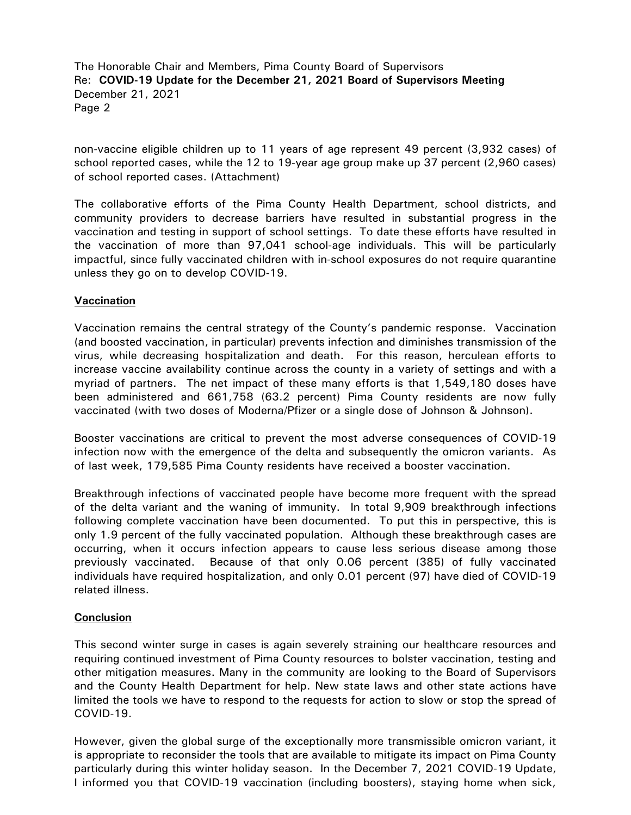The Honorable Chair and Members, Pima County Board of Supervisors Re: **COVID-19 Update for the December 21, 2021 Board of Supervisors Meeting** December 21, 2021 Page 2

non-vaccine eligible children up to 11 years of age represent 49 percent (3,932 cases) of school reported cases, while the 12 to 19-year age group make up 37 percent (2,960 cases) of school reported cases. (Attachment)

The collaborative efforts of the Pima County Health Department, school districts, and community providers to decrease barriers have resulted in substantial progress in the vaccination and testing in support of school settings. To date these efforts have resulted in the vaccination of more than 97,041 school-age individuals. This will be particularly impactful, since fully vaccinated children with in-school exposures do not require quarantine unless they go on to develop COVID-19.

### **Vaccination**

Vaccination remains the central strategy of the County's pandemic response. Vaccination (and boosted vaccination, in particular) prevents infection and diminishes transmission of the virus, while decreasing hospitalization and death. For this reason, herculean efforts to increase vaccine availability continue across the county in a variety of settings and with a myriad of partners. The net impact of these many efforts is that 1,549,180 doses have been administered and 661,758 (63.2 percent) Pima County residents are now fully vaccinated (with two doses of Moderna/Pfizer or a single dose of Johnson & Johnson).

Booster vaccinations are critical to prevent the most adverse consequences of COVID-19 infection now with the emergence of the delta and subsequently the omicron variants. As of last week, 179,585 Pima County residents have received a booster vaccination.

Breakthrough infections of vaccinated people have become more frequent with the spread of the delta variant and the waning of immunity. In total 9,909 breakthrough infections following complete vaccination have been documented. To put this in perspective, this is only 1.9 percent of the fully vaccinated population. Although these breakthrough cases are occurring, when it occurs infection appears to cause less serious disease among those previously vaccinated. Because of that only 0.06 percent (385) of fully vaccinated individuals have required hospitalization, and only 0.01 percent (97) have died of COVID-19 related illness.

#### **Conclusion**

This second winter surge in cases is again severely straining our healthcare resources and requiring continued investment of Pima County resources to bolster vaccination, testing and other mitigation measures. Many in the community are looking to the Board of Supervisors and the County Health Department for help. New state laws and other state actions have limited the tools we have to respond to the requests for action to slow or stop the spread of COVID-19.

However, given the global surge of the exceptionally more transmissible omicron variant, it is appropriate to reconsider the tools that are available to mitigate its impact on Pima County particularly during this winter holiday season. In the December 7, 2021 COVID-19 Update, I informed you that COVID-19 vaccination (including boosters), staying home when sick,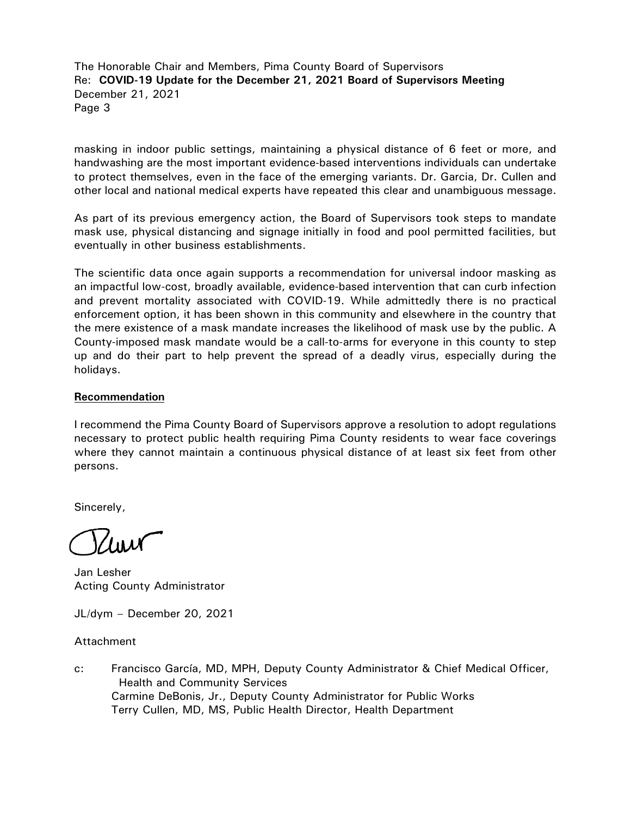The Honorable Chair and Members, Pima County Board of Supervisors Re: **COVID-19 Update for the December 21, 2021 Board of Supervisors Meeting** December 21, 2021 Page 3

masking in indoor public settings, maintaining a physical distance of 6 feet or more, and handwashing are the most important evidence-based interventions individuals can undertake to protect themselves, even in the face of the emerging variants. Dr. Garcia, Dr. Cullen and other local and national medical experts have repeated this clear and unambiguous message.

As part of its previous emergency action, the Board of Supervisors took steps to mandate mask use, physical distancing and signage initially in food and pool permitted facilities, but eventually in other business establishments.

The scientific data once again supports a recommendation for universal indoor masking as an impactful low-cost, broadly available, evidence-based intervention that can curb infection and prevent mortality associated with COVID-19. While admittedly there is no practical enforcement option, it has been shown in this community and elsewhere in the country that the mere existence of a mask mandate increases the likelihood of mask use by the public. A County-imposed mask mandate would be a call-to-arms for everyone in this county to step up and do their part to help prevent the spread of a deadly virus, especially during the holidays.

#### **Recommendation**

I recommend the Pima County Board of Supervisors approve a resolution to adopt regulations necessary to protect public health requiring Pima County residents to wear face coverings where they cannot maintain a continuous physical distance of at least six feet from other persons.

Sincerely,

Jan Lesher Acting County Administrator

JL/dym – December 20, 2021

Attachment

c: Francisco García, MD, MPH, Deputy County Administrator & Chief Medical Officer, Health and Community Services Carmine DeBonis, Jr., Deputy County Administrator for Public Works Terry Cullen, MD, MS, Public Health Director, Health Department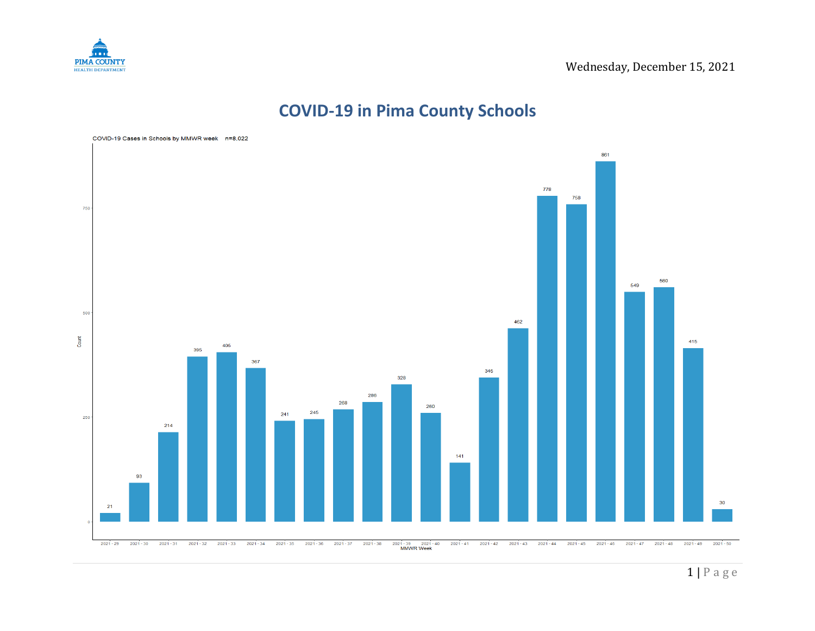

# **COVID-19 in Pima County Schools**

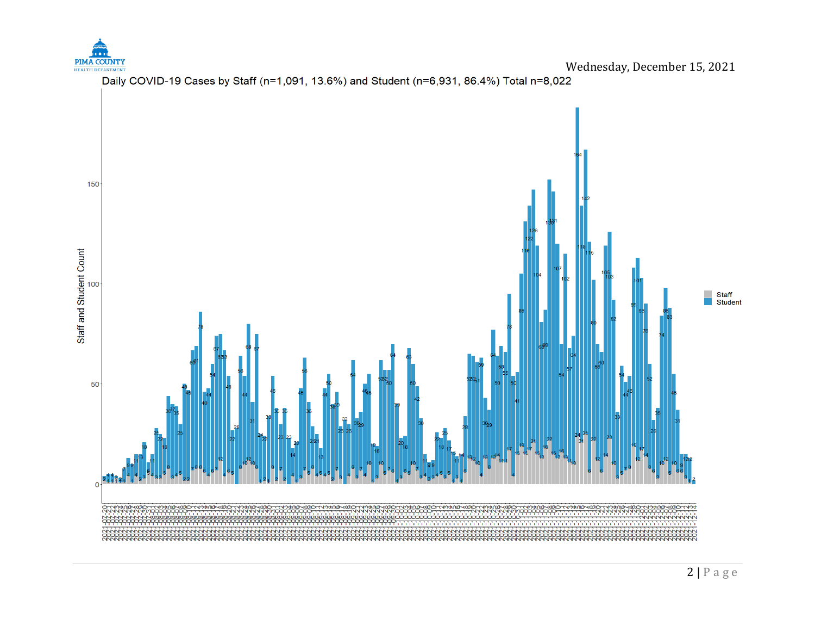



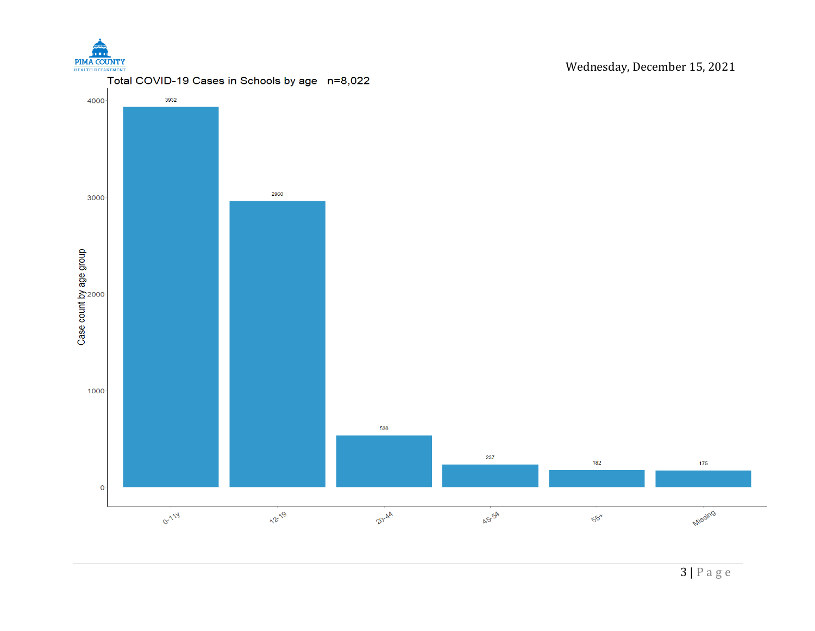

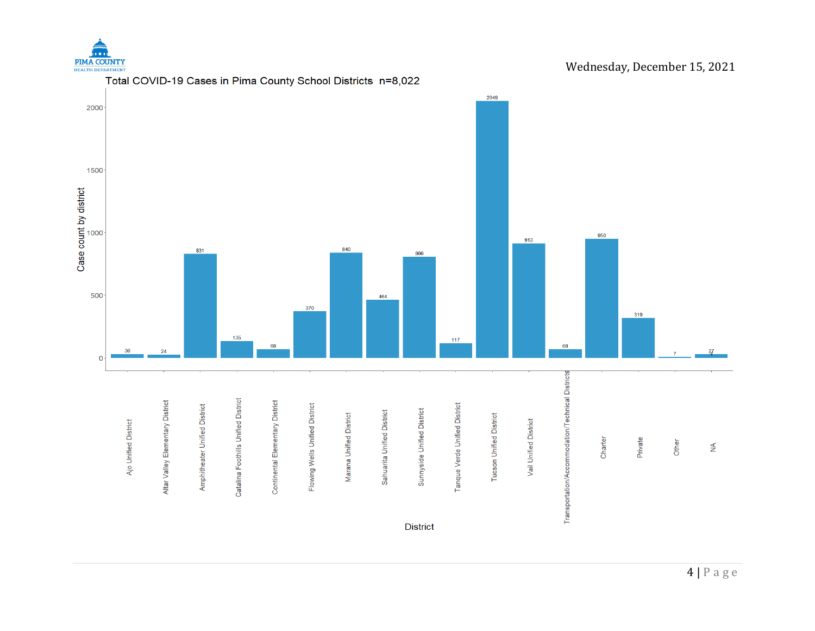

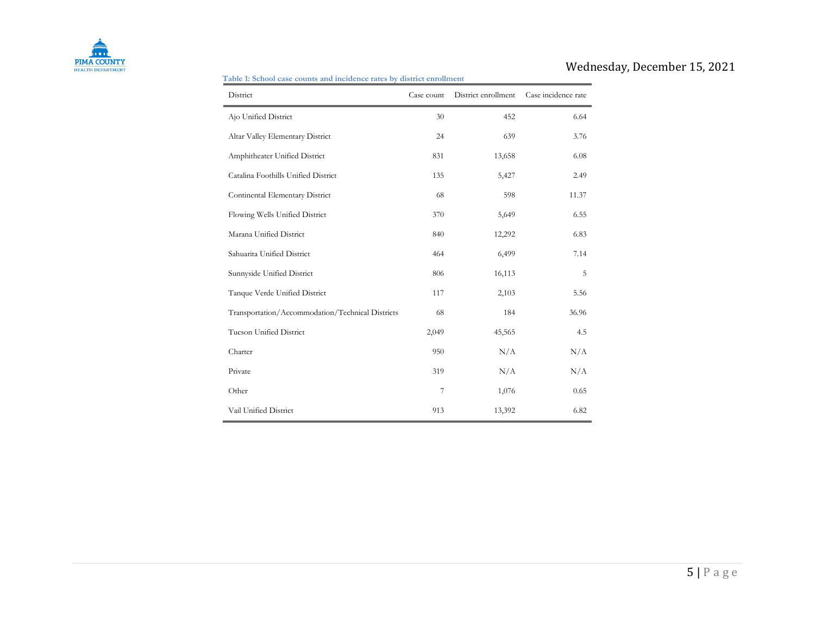

#### **Table 1: School case counts and incidence rates by district enrollment**

| District                                         | Case count | District enrollment | Case incidence rate |  |
|--------------------------------------------------|------------|---------------------|---------------------|--|
| Ajo Unified District                             | 30         | 452                 | 6.64                |  |
| Altar Valley Elementary District                 | 24         | 639                 | 3.76                |  |
| Amphitheater Unified District                    | 831        | 13,658              | 6.08                |  |
| Catalina Foothills Unified District              | 135        | 5,427               | 2.49                |  |
| Continental Elementary District                  | 68         | 598                 | 11.37               |  |
| Flowing Wells Unified District                   | 370        | 5,649               | 6.55                |  |
| Marana Unified District                          | 840        | 12,292              | 6.83                |  |
| Sahuarita Unified District                       | 464        | 6,499               | 7.14                |  |
| Sunnyside Unified District                       | 806        | 16,113              | 5                   |  |
| Tanque Verde Unified District                    | 117        | 2,103               | 5.56                |  |
| Transportation/Accommodation/Technical Districts | 68         | 184                 | 36.96               |  |
| <b>Tucson Unified District</b>                   | 2,049      | 45,565              | 4.5                 |  |
| Charter                                          | 950        | N/A                 | N/A                 |  |
| Private                                          | 319        | N/A                 | N/A                 |  |
| Other                                            | 7          | 1,076               | 0.65                |  |
| Vail Unified District                            | 913        | 13,392              | 6.82                |  |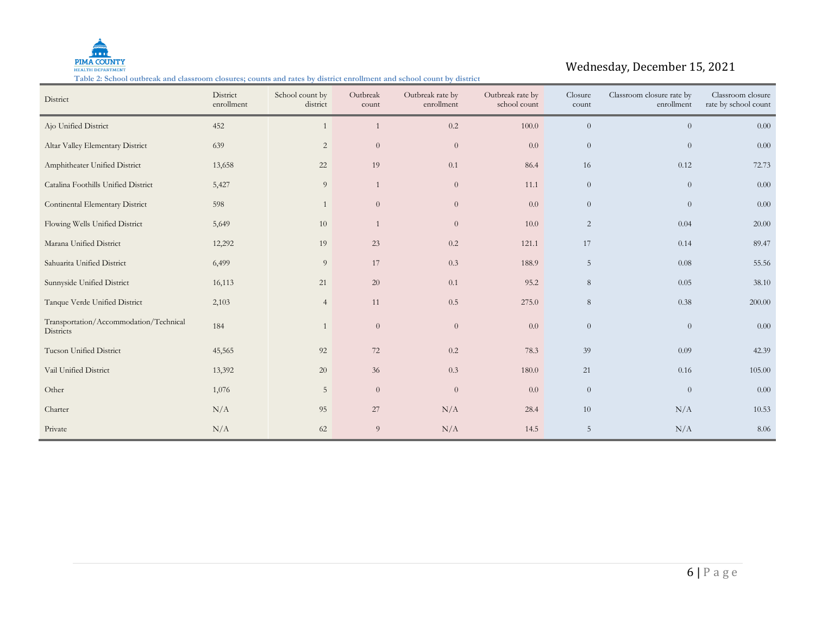

#### **Table 2: School outbreak and classroom closures; counts and rates by district enrollment and school count by district**

| District                                            | District<br>enrollment | School count by<br>district | Outbreak<br>count | Outbreak rate by<br>enrollment | Outbreak rate by<br>school count | Closure<br>count | Classroom closure rate by<br>enrollment | Classroom closure<br>rate by school count |
|-----------------------------------------------------|------------------------|-----------------------------|-------------------|--------------------------------|----------------------------------|------------------|-----------------------------------------|-------------------------------------------|
| Ajo Unified District                                | 452                    | $\mathbf{1}$                | $\overline{1}$    | 0.2                            | $100.0\,$                        | $\theta$         | $\overline{0}$                          | $0.00\,$                                  |
| Altar Valley Elementary District                    | 639                    | $\overline{2}$              | $\theta$          | $\overline{0}$                 | 0.0                              | $\theta$         | $\theta$                                | 0.00                                      |
| Amphitheater Unified District                       | 13,658                 | 22                          | 19                | 0.1                            | 86.4                             | 16               | 0.12                                    | 72.73                                     |
| Catalina Foothills Unified District                 | 5,427                  | 9                           | 1                 | $\theta$                       | 11.1                             | $\theta$         | $\theta$                                | 0.00                                      |
| Continental Elementary District                     | 598                    | $\mathbf{1}$                | $\theta$          | $\boldsymbol{0}$               | 0.0                              | $\boldsymbol{0}$ | $\theta$                                | 0.00                                      |
| Flowing Wells Unified District                      | 5,649                  | 10                          | 1                 | $\overline{0}$                 | 10.0                             | 2                | 0.04                                    | 20.00                                     |
| Marana Unified District                             | 12,292                 | 19                          | 23                | 0.2                            | 121.1                            | 17               | 0.14                                    | 89.47                                     |
| Sahuarita Unified District                          | 6,499                  | $\overline{9}$              | 17                | $0.3\,$                        | 188.9                            | $\overline{5}$   | 0.08                                    | 55.56                                     |
| Sunnyside Unified District                          | 16,113                 | 21                          | $20\,$            | 0.1                            | 95.2                             | 8                | 0.05                                    | 38.10                                     |
| Tanque Verde Unified District                       | 2,103                  | $\overline{4}$              | 11                | 0.5                            | 275.0                            | 8                | 0.38                                    | 200.00                                    |
| Transportation/Accommodation/Technical<br>Districts | 184                    | $\mathbf{1}$                | $\theta$          | $\overline{0}$                 | 0.0                              | $\theta$         | $\theta$                                | 0.00                                      |
| Tucson Unified District                             | 45,565                 | 92                          | 72                | 0.2                            | 78.3                             | 39               | 0.09                                    | 42.39                                     |
| Vail Unified District                               | 13,392                 | 20                          | 36                | 0.3                            | 180.0                            | 21               | 0.16                                    | 105.00                                    |
| Other                                               | 1,076                  | 5                           | $\overline{0}$    | $\overline{0}$                 | 0.0                              | $\theta$         | $\theta$                                | 0.00                                      |
| Charter                                             | N/A                    | 95                          | 27                | N/A                            | 28.4                             | 10               | N/A                                     | 10.53                                     |
| Private                                             | N/A                    | 62                          | 9                 | N/A                            | 14.5                             | $\overline{5}$   | N/A                                     | 8.06                                      |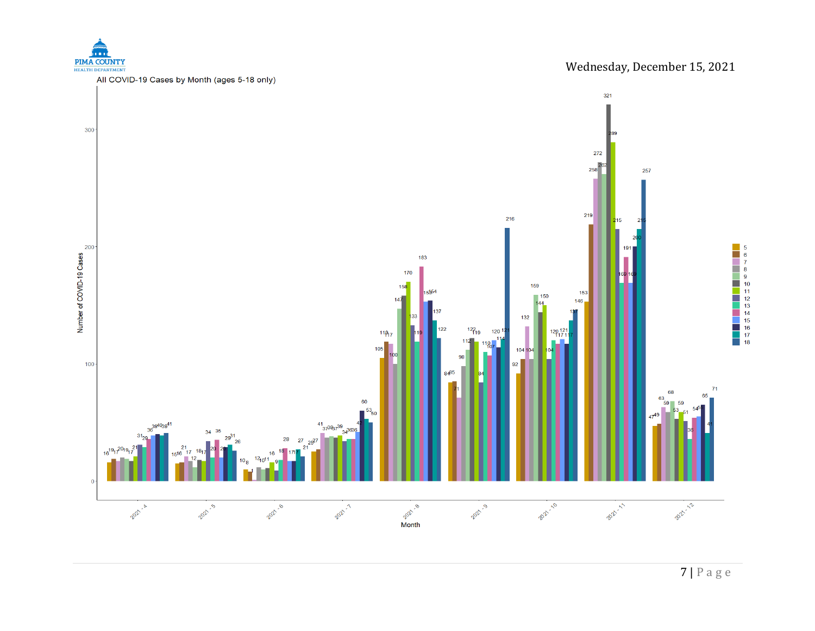